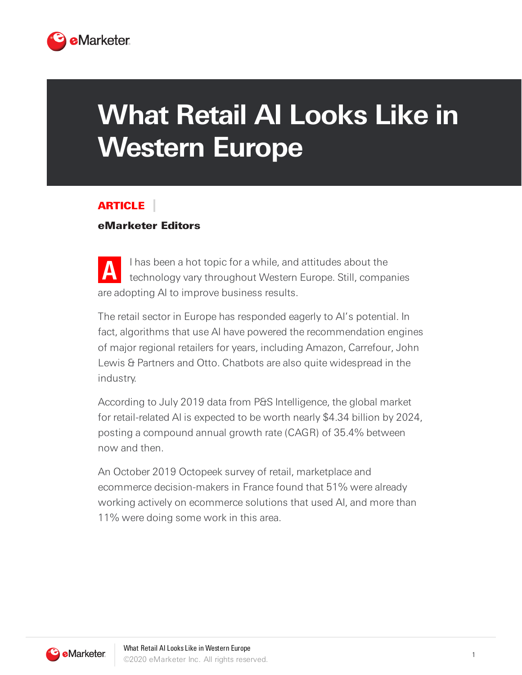

## **What Retail AI Looks Like in Western Europe**

## ARTICLE

## eMarketer Editors

**A** I has been a hot topic for a while, and attitudes about the technology vary throughout Western Europe. Still, companies are adopting AI to improve business results.

The retail sector in Europe has responded eagerly to AI's potential. In fact, algorithms that use AI have powered the recommendation engines of major regional retailers for years, including Amazon, Carrefour, John Lewis & Partners and Otto. Chatbots are also quite widespread in the industry.

According to July 2019 data from P&S Intelligence, the global market for retail-related AI is expected to be worth nearly \$4.34 billion by 2024, posting a compound annual growth rate (CAGR) of 35.4% between now and then.

An October 2019 Octopeek survey of retail, marketplace and ecommerce decision-makers in France found that 51% were already working actively on ecommerce solutions that used AI, and more than 11% were doing some work in this area.

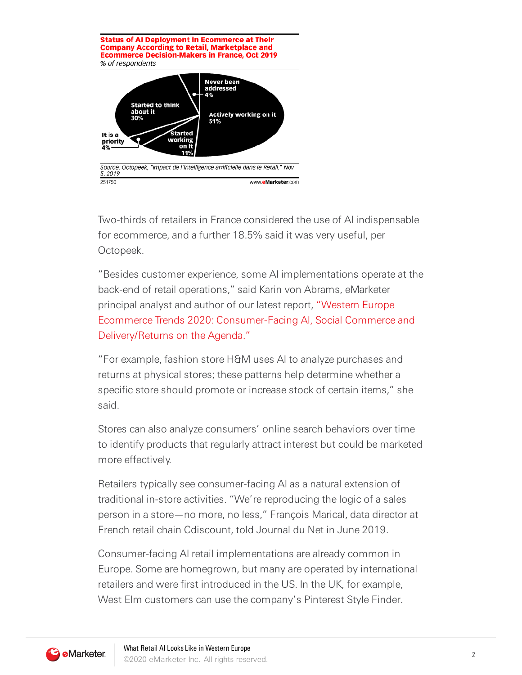

Two-thirds of retailers in France considered the use of AI indispensable for ecommerce, and a further 18.5% said it was very useful, per Octopeek.

"Besides customer experience, some AI implementations operate at the back-end of retail operations," said Karin von Abrams, eMarketer principal analyst and author of our latest report, "Western Europe Ecommerce Trends 2020: Consumer-Facing AI, Social Commerce and Delivery/Returns on the Agenda."

"For example, fashion store H&M uses AI to analyze purchases and returns at physical stores; these patterns help determine whether a specific store should promote or increase stock of certain items," she said.

Stores can also analyze consumers' online search behaviors over time to identify products that regularly attract interest but could be marketed more effectively.

Retailers typically see consumer-facing AI as a natural extension of traditional in-store activities. "We're reproducing the logic of a sales person in a store—no more, no less," François Marical, data director at French retail chain Cdiscount, told Journal du Net in June 2019.

Consumer-facing AI retail implementations are already common in Europe. Some are homegrown, but many are operated by international retailers and were first introduced in the US. In the UK, for example, West Elm customers can use the company's Pinterest Style Finder.

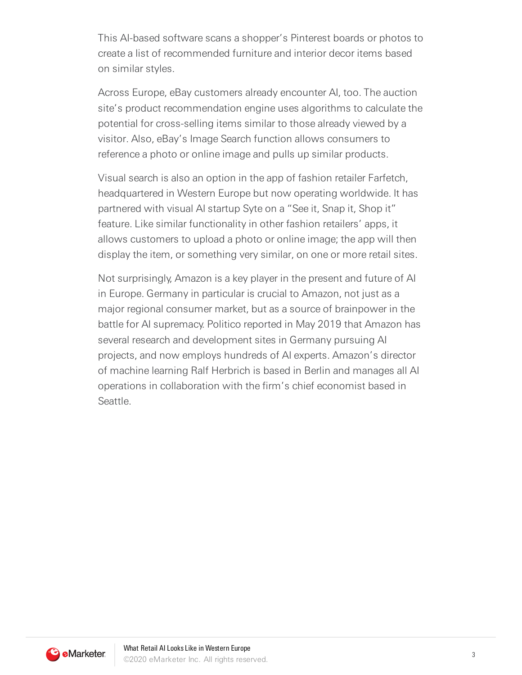This AI-based software scans a shopper's Pinterest boards or photos to create a list of recommended furniture and interior decor items based on similar styles.

Across Europe, eBay customers already encounter AI, too. The auction site's product recommendation engine uses algorithms to calculate the potential for cross-selling items similar to those already viewed by a visitor. Also, eBay's Image Search function allows consumers to reference a photo or online image and pulls up similar products.

Visual search is also an option in the app of fashion retailer Farfetch, headquartered in Western Europe but now operating worldwide. It has partnered with visual AI startup Syte on a "See it, Snap it, Shop it" feature. Like similar functionality in other fashion retailers' apps, it allows customers to upload a photo or online image; the app will then display the item, or something very similar, on one or more retail sites.

Not surprisingly, Amazon is a key player in the present and future of AI in Europe. Germany in particular is crucial to Amazon, not just as a major regional consumer market, but as a source of brainpower in the battle for AI supremacy. Politico reported in May 2019 that Amazon has several research and development sites in Germany pursuing AI projects, and now employs hundreds of AI experts. Amazon's director of machine learning Ralf Herbrich is based in Berlin and manages all AI operations in collaboration with the firm's chief economist based in Seattle.